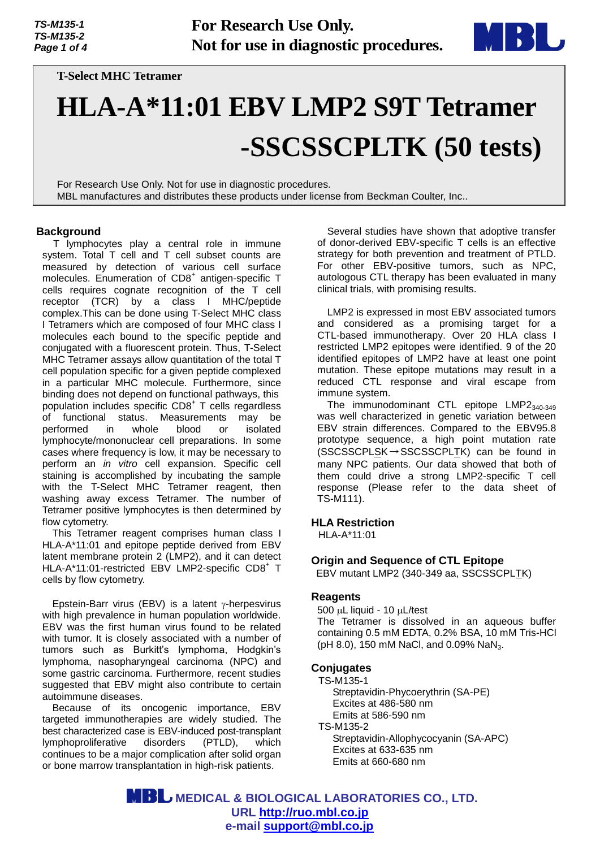

**T-Select MHC Tetramer** 

# **HLA-A\*11:01 EBV LMP2 S9T Tetramer -SSCSSCPLTK (50 tests)**

For Research Use Only. Not for use in diagnostic procedures. MBL manufactures and distributes these products under license from Beckman Coulter, Inc..

# **Background**

T lymphocytes play a central role in immune system. Total T cell and T cell subset counts are measured by detection of various cell surface molecules. Enumeration of CD8<sup>+</sup> antigen-specific T cells requires cognate recognition of the T cell receptor (TCR) by a class I MHC/peptide complex.This can be done using T-Select MHC class I Tetramers which are composed of four MHC class I molecules each bound to the specific peptide and conjugated with a fluorescent protein. Thus, T-Select MHC Tetramer assays allow quantitation of the total T cell population specific for a given peptide complexed in a particular MHC molecule. Furthermore, since binding does not depend on functional pathways, this population includes specific CD8<sup>+</sup> T cells regardless of functional status. Measurements may be performed in whole blood or isolated lymphocyte/mononuclear cell preparations. In some cases where frequency is low, it may be necessary to perform an *in vitro* cell expansion. Specific cell staining is accomplished by incubating the sample with the T-Select MHC Tetramer reagent, then washing away excess Tetramer. The number of Tetramer positive lymphocytes is then determined by flow cytometry.

This Tetramer reagent comprises human class I HLA-A\*11:01 and epitope peptide derived from EBV latent membrane protein 2 (LMP2), and it can detect HLA-A\*11:01-restricted EBV LMP2-specific CD8+ T cells by flow cytometry.

Epstein-Barr virus (EBV) is a latent  $\gamma$ -herpesvirus with high prevalence in human population worldwide. EBV was the first human virus found to be related with tumor. It is closely associated with a number of tumors such as Burkitt's lymphoma, Hodgkin's lymphoma, nasopharyngeal carcinoma (NPC) and some gastric carcinoma. Furthermore, recent studies suggested that EBV might also contribute to certain autoimmune diseases.

Because of its oncogenic importance, EBV targeted immunotherapies are widely studied. The best characterized case is EBV-induced post-transplant lymphoproliferative disorders (PTLD), which continues to be a major complication after solid organ or bone marrow transplantation in high-risk patients.

Several studies have shown that adoptive transfer of donor-derived EBV-specific T cells is an effective strategy for both prevention and treatment of PTLD. For other EBV-positive tumors, such as NPC, autologous CTL therapy has been evaluated in many clinical trials, with promising results.

LMP2 is expressed in most EBV associated tumors and considered as a promising target for a CTL-based immunotherapy. Over 20 HLA class I restricted LMP2 epitopes were identified. 9 of the 20 identified epitopes of LMP2 have at least one point mutation. These epitope mutations may result in a reduced CTL response and viral escape from immune system.

The immunodominant CTL epitope LMP2340-349 was well characterized in genetic variation between EBV strain differences. Compared to the EBV95.8 prototype sequence, a high point mutation rate (SSCSSCPLSK→SSCSSCPLTK) can be found in many NPC patients. Our data showed that both of them could drive a strong LMP2-specific T cell response (Please refer to the data sheet of TS-M111).

## **HLA Restriction**

HLA-A\*11:01

# **Origin and Sequence of CTL Epitope**

EBV mutant LMP2 (340-349 aa, SSCSSCPLTK)

## **Reagents**

 $500 \mu L$  liquid - 10  $\mu L$ /test The Tetramer is dissolved in an aqueous buffer containing 0.5 mM EDTA, 0.2% BSA, 10 mM Tris-HCl (pH 8.0), 150 mM NaCl, and 0.09% NaN<sub>3</sub>.

## **Conjugates**

TS-M135-1 Streptavidin-Phycoerythrin (SA-PE) Excites at 486-580 nm Emits at 586-590 nm TS-M135-2 Streptavidin-Allophycocyanin (SA-APC) Excites at 633-635 nm Emits at 660-680 nm

 **MEDICAL & BIOLOGICAL LABORATORIES CO., LTD. URL [http://ruo.mbl.co.jp](https://ruo.mbl.co.jp/) e-mail [support@mbl.co.jp](mailto:support@mbl.co.jp)**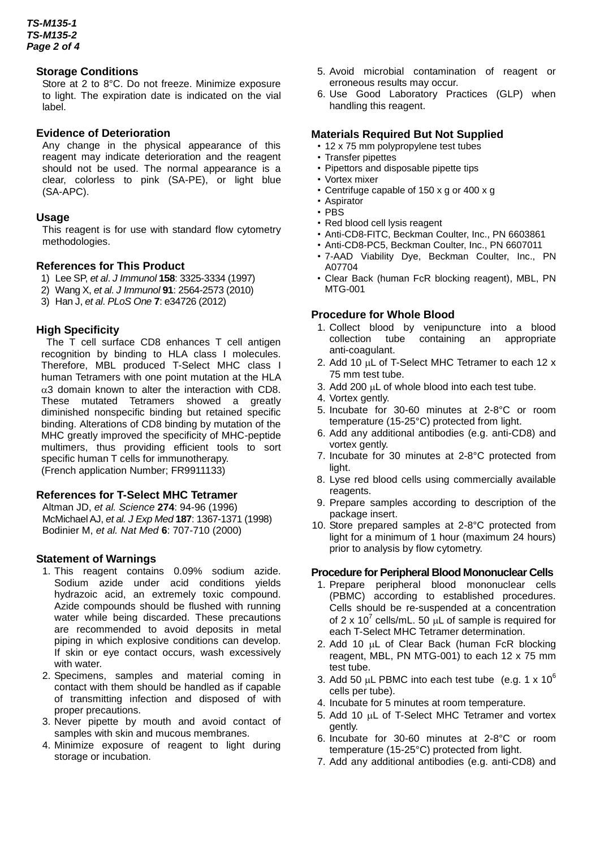#### **Storage Conditions**

Store at 2 to 8°C. Do not freeze. Minimize exposure to light. The expiration date is indicated on the vial label.

#### **Evidence of Deterioration**

Any change in the physical appearance of this reagent may indicate deterioration and the reagent should not be used. The normal appearance is a clear, colorless to pink (SA-PE), or light blue (SA-APC).

#### **Usage**

This reagent is for use with standard flow cytometry methodologies.

#### **References for This Product**

- 1) Lee SP, *et al*. *J Immunol* **158**: 3325-3334 (1997)
- 2) Wang X, *et al*. *J Immunol* **91**: 2564-2573 (2010)
- 3) Han J, *et al*. *PLoS One* **7**: e34726 (2012)

#### **High Specificity**

The T cell surface CD8 enhances T cell antigen recognition by binding to HLA class I molecules. Therefore, MBL produced T-Select MHC class I human Tetramers with one point mutation at the HLA  $\alpha$ 3 domain known to alter the interaction with CD8. These mutated Tetramers showed a greatly diminished nonspecific binding but retained specific binding. Alterations of CD8 binding by mutation of the MHC greatly improved the specificity of MHC-peptide multimers, thus providing efficient tools to sort specific human T cells for immunotherapy. (French application Number; FR9911133)

## **References for T-Select MHC Tetramer**

Altman JD, *et al. Science* **274**: 94-96 (1996) McMichael AJ, *et al. J Exp Med* **187**: 1367-1371 (1998) Bodinier M, *et al. Nat Med* **6**: 707-710 (2000)

#### **Statement of Warnings**

- 1. This reagent contains 0.09% sodium azide. Sodium azide under acid conditions yields hydrazoic acid, an extremely toxic compound. Azide compounds should be flushed with running water while being discarded. These precautions are recommended to avoid deposits in metal piping in which explosive conditions can develop. If skin or eye contact occurs, wash excessively with water.
- 2. Specimens, samples and material coming in contact with them should be handled as if capable of transmitting infection and disposed of with proper precautions.
- 3. Never pipette by mouth and avoid contact of samples with skin and mucous membranes.
- 4. Minimize exposure of reagent to light during storage or incubation.
- 5. Avoid microbial contamination of reagent or erroneous results may occur.
- 6. Use Good Laboratory Practices (GLP) when handling this reagent.

#### **Materials Required But Not Supplied**

- 12 x 75 mm polypropylene test tubes
- Transfer pipettes
- Pipettors and disposable pipette tips
- Vortex mixer
- Centrifuge capable of 150 x g or 400 x g
- Aspirator
- PBS
- Red blood cell lysis reagent
- Anti-CD8-FITC, Beckman Coulter, Inc., PN 6603861
- Anti-CD8-PC5, Beckman Coulter, Inc., PN 6607011
- 7-AAD Viability Dye, Beckman Coulter, Inc., PN A07704
- Clear Back (human FcR blocking reagent), MBL, PN MTG-001

#### **Procedure for Whole Blood**

- 1. Collect blood by venipuncture into a blood collection tube containing an appropriate anti-coagulant.
- 2. Add 10  $\mu$ L of T-Select MHC Tetramer to each 12 x 75 mm test tube.
- 3. Add 200  $\mu$ L of whole blood into each test tube.
- 4. Vortex gently.
- 5. Incubate for 30-60 minutes at 2-8°C or room temperature (15-25°C) protected from light.
- 6. Add any additional antibodies (e.g. anti-CD8) and vortex gently.
- 7. Incubate for 30 minutes at 2-8°C protected from light.
- 8. Lyse red blood cells using commercially available reagents.
- 9. Prepare samples according to description of the package insert.
- 10. Store prepared samples at 2-8°C protected from light for a minimum of 1 hour (maximum 24 hours) prior to analysis by flow cytometry.

#### **Procedure for Peripheral Blood Mononuclear Cells**

- 1. Prepare peripheral blood mononuclear cells (PBMC) according to established procedures. Cells should be re-suspended at a concentration of 2 x 10<sup>7</sup> cells/mL. 50  $\mu$ L of sample is required for each T-Select MHC Tetramer determination.
- 2. Add 10  $\mu$ L of Clear Back (human FcR blocking reagent, MBL, PN MTG-001) to each 12 x 75 mm test tube.
- 3. Add 50  $\mu$ L PBMC into each test tube (e.g. 1 x 10<sup>6</sup>) cells per tube).
- 4. Incubate for 5 minutes at room temperature.
- 5. Add 10 µL of T-Select MHC Tetramer and vortex gently.
- 6. Incubate for 30-60 minutes at 2-8°C or room temperature (15-25°C) protected from light.
- 7. Add any additional antibodies (e.g. anti-CD8) and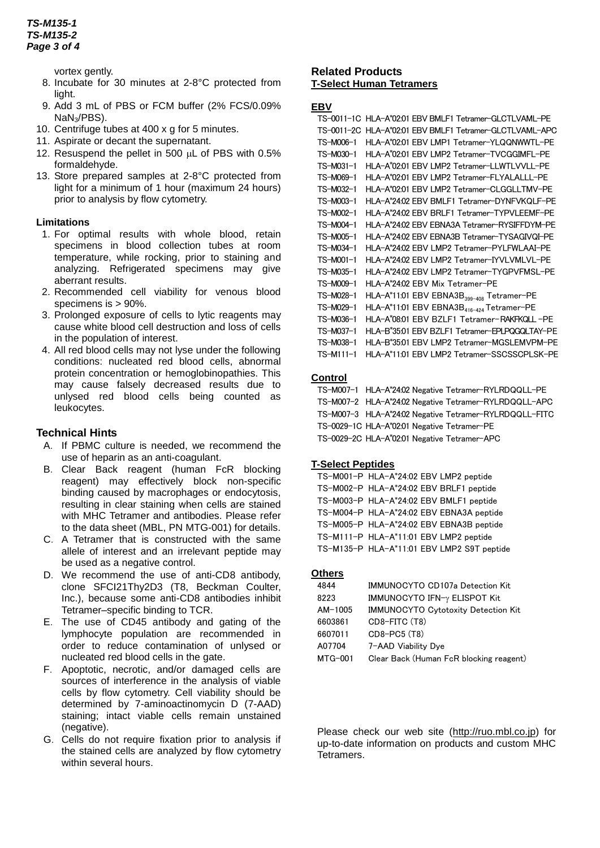## *TS-M135-1 TS-M135-2 Page 3 of 4*

vortex gently.

- 8. Incubate for 30 minutes at 2-8°C protected from light.
- 9. Add 3 mL of PBS or FCM buffer (2% FCS/0.09% NaN3/PBS).
- 10. Centrifuge tubes at 400 x g for 5 minutes.
- 11. Aspirate or decant the supernatant.
- 12. Resuspend the pellet in 500 uL of PBS with 0.5% formaldehyde.
- 13. Store prepared samples at 2-8°C protected from light for a minimum of 1 hour (maximum 24 hours) prior to analysis by flow cytometry.

## **Limitations**

- 1. For optimal results with whole blood, retain specimens in blood collection tubes at room temperature, while rocking, prior to staining and analyzing. Refrigerated specimens may give aberrant results.
- 2. Recommended cell viability for venous blood specimens is > 90%.
- 3. Prolonged exposure of cells to lytic reagents may cause white blood cell destruction and loss of cells in the population of interest.
- 4. All red blood cells may not lyse under the following conditions: nucleated red blood cells, abnormal protein concentration or hemoglobinopathies. This may cause falsely decreased results due to unlysed red blood cells being counted as leukocytes.

## **Technical Hints**

- A. If PBMC culture is needed, we recommend the use of heparin as an anti-coagulant.
- B. Clear Back reagent (human FcR blocking reagent) may effectively block non-specific binding caused by macrophages or endocytosis, resulting in clear staining when cells are stained with MHC Tetramer and antibodies. Please refer to the data sheet (MBL, PN MTG-001) for details.
- C. A Tetramer that is constructed with the same allele of interest and an irrelevant peptide may be used as a negative control.
- D. We recommend the use of anti-CD8 antibody, clone SFCI21Thy2D3 (T8, Beckman Coulter, Inc.), because some anti-CD8 antibodies inhibit Tetramer–specific binding to TCR.
- E. The use of CD45 antibody and gating of the lymphocyte population are recommended in order to reduce contamination of unlysed or nucleated red blood cells in the gate.
- F. Apoptotic, necrotic, and/or damaged cells are sources of interference in the analysis of viable cells by flow cytometry. Cell viability should be determined by 7-aminoactinomycin D (7-AAD) staining; intact viable cells remain unstained (negative).
- G. Cells do not require fixation prior to analysis if the stained cells are analyzed by flow cytometry within several hours.

## **Related Products T-Select Human Tetramers**

#### **EBV**

```
TS-0011-1C HLA-A*02:01 EBV BMLF1 Tetramer-GLCTLVAML-PE
TS-0011-2C HLA-A*02:01 EBV BMLF1 Tetramer-GLCTLVAML-APC
TS-M006-1 HLA-A*02:01 EBV LMP1 Tetramer-YLQQNWWTL-PE
TS-M030-1 HLA-A
*
02:01 EBV LMP2 Tetramer-TVCGGIMFL-PE
TS-M031-1 HLA-A
*
02:01 EBV LMP2 Tetramer-LLWTLVVLL-PE
TS-M069-1 HLA-A
*
02:01 EBV LMP2 Tetramer-FLYALALLL-PE
TS-M032-1 HLA-A
*
02:01 EBV LMP2 Tetramer-CLGGLLTMV-PE
TS-M003-1 HLA-A
*
24:02 EBV BMLF1 Tetramer-DYNFVKQLF-PE
TS-M002-1 HLA-A
*
24:02 EBV BRLF1 Tetramer-TYPVLEEMF-PE
TS-M004-1 HLA-A
*
24:02 EBV EBNA3A Tetramer-RYSIFFDYM-PE
TS-M005-1 HLA-A
*
24:02 EBV EBNA3B Tetramer-TYSAGIVQI-PE
TS-M034-1 HLA-A
*
24:02 EBV LMP2 Tetramer-PYLFWLAAI-PE
TS-M001-1 HLA-A
*
24:02 EBV LMP2 Tetramer-IYVLVMLVL-PE
TS-M035-1 HLA-A*24.02 EBV LMP2 Tetramer-TYGPVFMSL-PE
TS-M009-1 HLA-A*24:02 EBV Mix Tetramer-PE
TS-M028-1 HLA-A*11.01 EBV EBNA3B<sub>399-408</sub> Tetramer-PE
TS-M029-1 HLA-A*11.01 EBV EBNA3B<sub>416-424</sub> Tetramer-PE
TS-M036-1 HLA-A*08:01 EBV BZLF1 Tetramer-RAKFKQLL-PE
TS-M037-1 HLA-B*35.01 EBV BZLF1 Tetramer-EPLPQGQLTAY-PE
TS-M038-1 HLA-B*35.01 EBV LMP2 Tetramer-MGSLEMVPM-PE
TS-M111-1 HLA-A*11.01 EBV LMP2 Tetramer-SSCSSCPLSK-PE
```
## **Control**

TS-M007-1 HLA-A\*24:02 Negative Tetramer-RYLRDQQLL-PE TS-M007-2 HLA-A\*24.02 Negative Tetramer-RYLRDQQLL-APC TS-M007-3 HLA-A\*24:02 Negative Tetramer-RYLRDQQLL-FITC TS-0029-1C HLA-A\*02.01 Negative Tetramer-PE TS-0029-2C HLA-A<sup>\*</sup>02:01 Negative Tetramer-APC

#### **T-Select Peptides**

TS-M001-P HLA-A\*24:02 EBV LMP2 peptide TS-M002-P HLA-A \* 24:02 EBV BRLF1 peptide TS-M003-P HLA-A \* 24:02 EBV BMLF1 peptide TS-M004-P HLA-A\*24:02 EBV EBNA3A peptide TS-M005-P HLA-A \* 24:02 EBV EBNA3B peptide TS-M111-P HLA-A\*11:01 EBV LMP2 peptide TS-M135-P HLA-A \* 11:01 EBV LMP2 S9T peptide

## **Others**

| 4844    | <b>IMMUNOCYTO CD107a Detection Kit</b>     |
|---------|--------------------------------------------|
| 8223    | IMMUNOCYTO IFN-γ ELISPOT Kit               |
| AM-1005 | <b>IMMUNOCYTO Cytotoxity Detection Kit</b> |
| 6603861 | CD8-FITC (T8)                              |
| 6607011 | $CD8-PC5(T8)$                              |
| A07704  | 7-AAD Viability Dve                        |
| MTG-001 | Clear Back (Human FcR blocking reagent)    |

Please check our web site [\(http://ruo.mbl.co.jp\)](https://ruo.mbl.co.jp/) for up-to-date information on products and custom MHC Tetramers.